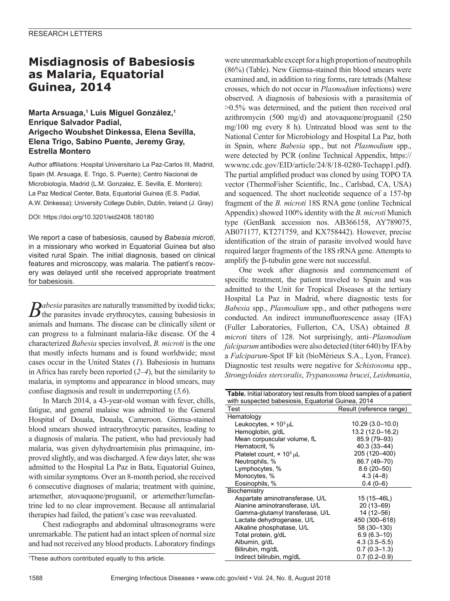# **Misdiagnosis of Babesiosis as Malaria, Equatorial Guinea, 2014**

## **Marta Arsuaga,1 Luis Miguel González,1 Enrique Salvador Padial, Arigecho Woubshet Dinkessa, Elena Sevilla, Elena Trigo, Sabino Puente, Jeremy Gray, Estrella Montero**

Author affiliations: Hospital Universitario La Paz-Carlos III, Madrid, Spain (M. Arsuaga, E. Trigo, S. Puente); Centro Nacional de Microbiología, Madrid (L.M. Gonzalez, E. Sevilla, E. Montero); La Paz Medical Center, Bata, Equatorial Guinea (E.S. Padial, A.W. Dinkessa); University College Dublin, Dublin, Ireland (J. Gray)

DOI: https://doi.org/10.3201/eid2408.180180

We report a case of babesiosis, caused by *Babesia microti*, in a missionary who worked in Equatorial Guinea but also visited rural Spain. The initial diagnosis, based on clinical features and microscopy, was malaria. The patient's recovery was delayed until she received appropriate treatment for babesiosis.

*Babesia* parasites are naturally transmitted by ixodid ticks; the parasites invade erythrocytes, causing babesiosis in animals and humans. The disease can be clinically silent or can progress to a fulminant malaria-like disease. Of the 4 characterized *Babesia* species involved, *B. microti* is the one that mostly infects humans and is found worldwide; most cases occur in the United States (*1*). Babesiosis in humans in Africa has rarely been reported (*2–4*), but the similarity to malaria, in symptoms and appearance in blood smears, may confuse diagnosis and result in underreporting (*5,6*).

In March 2014, a 43-year-old woman with fever, chills, fatigue, and general malaise was admitted to the General Hospital of Douala, Douala, Cameroon. Giemsa-stained blood smears showed intraerythrocytic parasites, leading to a diagnosis of malaria. The patient, who had previously had malaria, was given dyhydroartemisin plus primaquine, improved slightly, and was discharged. A few days later, she was admitted to the Hospital La Paz in Bata, Equatorial Guinea, with similar symptoms. Over an 8-month period, she received 6 consecutive diagnoses of malaria; treatment with quinine, artemether, atovaquone/proguanil, or artemether/lumefantrine led to no clear improvement. Because all antimalarial therapies had failed, the patient's case was reevaluated.

Chest radiographs and abdominal ultrasonograms were unremarkable. The patient had an intact spleen of normal size and had not received any blood products. Laboratory findings

were unremarkable except for a high proportion of neutrophils (86%) (Table). New Giemsa-stained thin blood smears were examined and, in addition to ring forms, rare tetrads (Maltese crosses, which do not occur in *Plasmodium* infections) were observed. A diagnosis of babesiosis with a parasitemia of >0.5% was determined, and the patient then received oral azithromycin (500 mg/d) and atovaquone/proguanil (250 mg/100 mg every 8 h). Untreated blood was sent to the National Center for Microbiology and Hospital La Paz, both in Spain, where *Babesia* spp., but not *Plasmodium* spp., were detected by PCR (online Technical Appendix, https:// wwwnc.cdc.gov/EID/article/24/8/18-0280-Techapp1.pdf**)**. The partial amplified product was cloned by using TOPO TA vector (ThermoFisher Scientific, Inc., Carlsbad, CA, USA) and sequenced. The short nucleotide sequence of a 157-bp fragment of the *B. microti* 18S RNA gene (online Technical Appendix) showed 100% identity with the *B. microti* Munich type (GenBank accession nos. AB366158, AY789075, AB071177, KT271759, and KX758442). However, precise identification of the strain of parasite involved would have required larger fragments of the 18S rRNA gene. Attempts to amplify the β-tubulin gene were not successful.

One week after diagnosis and commencement of specific treatment, the patient traveled to Spain and was admitted to the Unit for Tropical Diseases at the tertiary Hospital La Paz in Madrid, where diagnostic tests for *Babesia* spp., *Plasmodium* spp., and other pathogens were conducted. An indirect immunofluorescence assay (IFA) (Fuller Laboratories, Fullerton, CA, USA) obtained *B. microti* titers of 128. Not surprisingly, anti–*Plasmodium falciparum* antibodies were also detected (titer 640) by IFA by a *Falciparum*-Spot IF kit (bioMérieux S.A., Lyon, France). Diagnostic test results were negative for *Schistosoma* spp., *Strongyloides stercoralis*, *Trypanosoma brucei*, *Leishmania*,

| Table. Initial laboratory test results from blood samples of a patient |                          |
|------------------------------------------------------------------------|--------------------------|
| with suspected babesiosis, Equatorial Guinea, 2014                     |                          |
| Test                                                                   | Result (reference range) |
| Hematology                                                             |                          |
| Leukocytes, $\times$ 10 <sup>3</sup> µL                                | 10.29 (3.0–10.0)         |
| Hemoglobin, g/dL                                                       | 13.2 (12.0-16.2)         |
| Mean corpuscular volume, fL                                            | 85.9 (79-93)             |
| Hematocrit, %                                                          | 40.3 (33-44)             |
| Platelet count, $\times$ 10 <sup>3</sup> µL                            | 205 (120-400)            |
| Neutrophils, %                                                         | 86.7 (49-70)             |
| Lymphocytes, %                                                         | $8.6(20 - 50)$           |
| Monocytes, %                                                           | $4.3(4-8)$               |
| Eosinophils, %                                                         | $0.4(0-6)$               |
| Biochemistry                                                           |                          |
| Aspartate aminotransferase, U/L                                        | 15 (15–46L)              |
| Alanine aminotransferase, U/L                                          | $20(13-69)$              |
| Gamma-glutamyl transferase, U/L                                        | 14 (12-56)               |
| Lactate dehydrogenase, U/L                                             | 450 (300-618)            |
| Alkaline phosphatase, U/L                                              | 58 (30-130)              |
| Total protein, g/dL                                                    | $6.9(6.3-10)$            |
| Albumin, g/dL                                                          | $4.3(3.5 - 5.5)$         |
| Bilirubin, mg/dL                                                       | $0.7(0.3-1.3)$           |
| Indirect bilirubin, mg/dL                                              | $0.7(0.2 - 0.9)$         |

<sup>1</sup> These authors contributed equally to this article.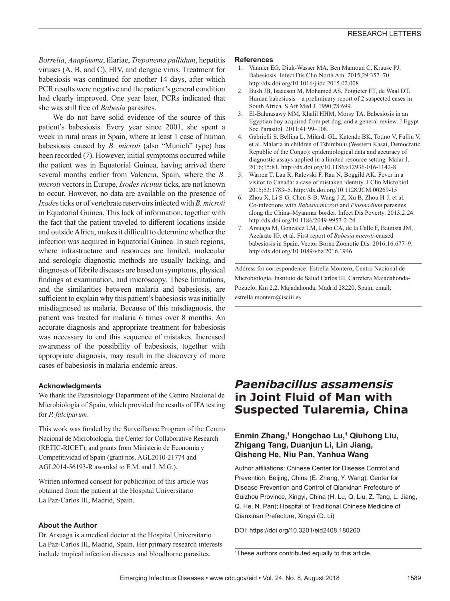*Borrelia*, *Anaplasma*, filariae, *Treponema pallidum*, hepatitis viruses (A, B, and C), HIV, and dengue virus. Treatment for babesiosis was continued for another 14 days, after which PCR results were negative and the patient's general condition had clearly improved. One year later, PCRs indicated that she was still free of *Babesia* parasites.

We do not have solid evidence of the source of this patient's babesiosis. Every year since 2001, she spent a week in rural areas in Spain, where at least 1 case of human babesiosis caused by *B. microti* (also "Munich" type) has been recorded (*7*). However, initial symptoms occurred while the patient was in Equatorial Guinea, having arrived there several months earlier from Valencia, Spain, where the *B. microti* vectors in Europe, *Ixodes ricinus* ticks, are not known to occur. However, no data are available on the presence of *Ixode*s ticks or of vertebrate reservoirs infected with *B. microti* in Equatorial Guinea. This lack of information, together with the fact that the patient traveled to different locations inside and outside Africa, makes it difficult to determine whether the infection was acquired in Equatorial Guinea. In such regions, where infrastructure and resources are limited, molecular and serologic diagnostic methods are usually lacking, and diagnoses of febrile diseases are based on symptoms, physical findings at examination, and microscopy. These limitations, and the similarities between malaria and babesiosis, are sufficient to explain why this patient's babesiosis was initially misdiagnosed as malaria. Because of this misdiagnosis, the patient was treated for malaria 6 times over 8 months. An accurate diagnosis and appropriate treatment for babesiosis was necessary to end this sequence of mistakes. Increased awareness of the possibility of babesiosis, together with appropriate diagnosis, may result in the discovery of more cases of babesiosis in malaria-endemic areas.

#### **Acknowledgments**

We thank the Parasitology Department of the Centro Nacional de Microbiología of Spain, which provided the results of IFA testing for *P. falciparum*.

This work was funded by the Surveillance Program of the Centro Nacional de Microbiología, the Center for Collaborative Research (RETIC-RICET), and grants from Ministerio de Economia y Competitividad of Spain (grant nos. AGL2010-21774 and AGL2014-56193-R awarded to E.M. and L.M.G.).

Written informed consent for publication of this article was obtained from the patient at the Hospital Universitario La Paz-Carlos III, Madrid, Spain.

#### **About the Author**

Dr. Arsuaga is a medical doctor at the Hospital Universitario La Paz-Carlos III, Madrid, Spain. Her primary research interests include tropical infection diseases and bloodborne parasites.

#### **References**

- 1. Vannier EG, Diuk-Wasser MA, Ben Mamoun C, Krause PJ. Babesiosis. Infect Dis Clin North Am. 2015;29:357–70. http://dx.doi.org/10.1016/j.idc.2015.02.008
- 2. Bush JB, Isaäcson M, Mohamed AS, Potgieter FT, de Waal DT. Human babesiosis—a preliminary report of 2 suspected cases in South Africa. S Afr Med J. 1990;78:699.
- 3. El-Bahnasawy MM, Khalil HHM, Morsy TA. Babesiosis in an Egyptian boy acquired from pet dog, and a general review. J Egypt Soc Parasitol. 2011;41:99–108.
- 4. Gabrielli S, Bellina L, Milardi GL, Katende BK, Totino V, Fullin V, et al. Malaria in children of Tshimbulu (Western Kasai, Democratic Republic of the Congo): epidemiological data and accuracy of diagnostic assays applied in a limited resource setting. Malar J. 2016;15:81. http://dx.doi.org/10.1186/s12936-016-1142-8
- 5. Warren T, Lau R, Ralevski F, Rau N, Boggild AK. Fever in a visitor to Canada: a case of mistaken identity. J Clin Microbiol. 2015;53:1783–5. http://dx.doi.org/10.1128/JCM.00269-15
- 6. Zhou X, Li S-G, Chen S-B, Wang J-Z, Xu B, Zhou H-J, et al. Co-infections with *Babesia microti* and *Plasmodium* parasites along the China–Myanmar border. Infect Dis Poverty. 2013;2:24. http://dx.doi.org/10.1186/2049-9957-2-24
- 7. Arsuaga M, Gonzalez LM, Lobo CA, de la Calle F, Bautista JM, Azcárate IG, et al. First report of *Babesia microti-*caused babesiosis in Spain. Vector Borne Zoonotic Dis. 2016;16:677–9. http://dx.doi.org/10.1089/vbz.2016.1946

Address for correspondence: Estrella Montero, Centro Nacional de Microbiología, Instituto de Salud Carlos III, Carretera Majadahonda-Pozuelo, Km 2,2, Majadahonda, Madrid 28220, Spain; email: estrella.montero@isciii.es

## *Paenibacillus assamensis* **in Joint Fluid of Man with Suspected Tularemia, China**

### **Enmin Zhang,1 Hongchao Lu,1 Qiuhong Liu, Zhigang Tang, Duanjun Li, Lin Jiang, Qisheng He, Niu Pan, Yanhua Wang**

Author affiliations: Chinese Center for Disease Control and Prevention, Beijing, China (E. Zhang, Y. Wang); Center for Disease Prevention and Control of Qianxinan Prefecture of Guizhou Province, Xingyi, China (H. Lu, Q. Liu, Z. Tang, L. Jiang, Q. He, N. Pan); Hospital of Traditional Chinese Medicine of Qianxinan Prefecture, Xingyi (D. Li)

DOI: https://doi.org/10.3201/eid2408.180260

<sup>1</sup> These authors contributed equally to this article.